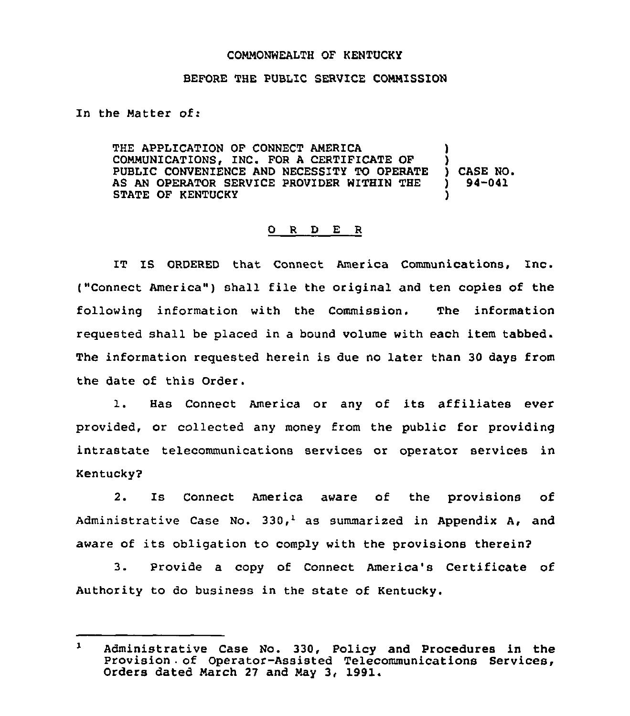## CONMONWEALTH OF KENTUCKY

## BEFORE THE PUBLIC SERVICE CONNISSION

In the Natter of:

THE APPLICATION OF CONNECT ANERICA CONNUNICATIONS, INC. FOR A CERTIFICATE OF PUBLIC CONVENIENCE AND NECESSITY TO OPERATE AS AN OPERATOR SERVICE PROVIDER WITHIN THE STATE OF KENTUCKY ) ) ) CASE NO. ) 94-041 )

## 0 R <sup>D</sup> E R

IT IS ORDERED that Connect America Communications, Inc. ("Connect America") shall file the original and ten copies of the following information with the Commission. The information requested shall be placed in a bound volume with each item tabbed. The information requested herein is due no later than 30 days from the date of this Order.

1. Has Connect America or any of its affiliates ever provided, or collected any money from the public for providing intrastate telecommunications services or operator services in Kentucky2

2. Is Connect America aware of the provisions of Administrative Case No. 330,<sup>1</sup> as summarized in Appendix A, and aware of its obligation to comply with the provisions therein2

3. Provide a copy of Connect America's Certificate of Authority to do business in the state of Kentucky.

 $\mathbf{1}$ Administrative Case No. 330, Policy and Procedures in the Provision of Operator-Assisted Telecommunications Services, Orders dated Narch 27 and May 3, 1991.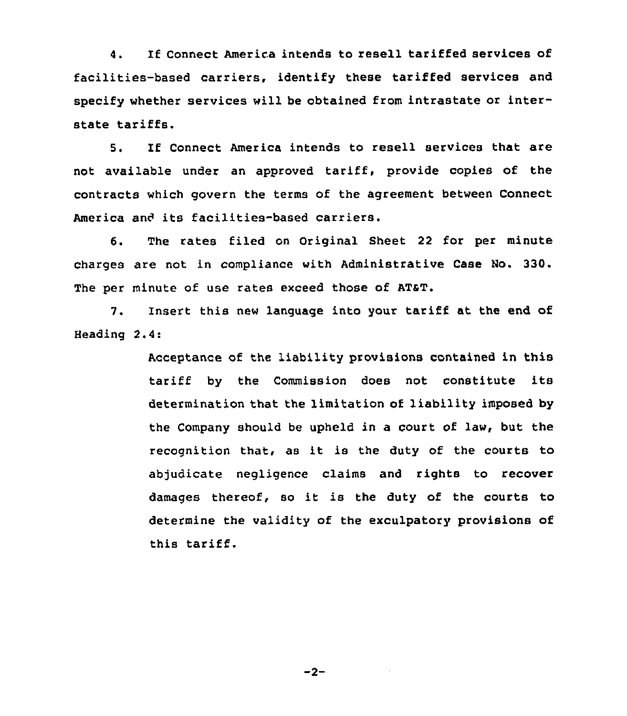4. If Connect America intends to resell tariffed services of facilities-based carriers, identify these tariffed services and specify whether services will be obtained from intrastate or interstate tariffs.

5. If Connect America intends to resell services that are not available under an approved tariff, provide copies of the contracts which govern the terms of the agreement between Connect America and its facilities-based carriers.

6. The rates filed on Original Sheet 22 for per minute charges are not in compliance with Administrative Case No. 330. The per minute of use rates exceed those of AT&T.

7. Insert this new language into your tariff at the end of Heading 2.4:

> Acceptance of the liability provisions contained in this tariff by the Commission does not constitute its determination that the limitation of liability imposed by the Company should be upheld in a court of law, but the recognition that, as it is the duty of the courts to abjudicate negligence claims and rights to recover damages thereof, so it is the duty of the courts to determine the validity of the exculpatory provisions of this tariff.

> > $-2-$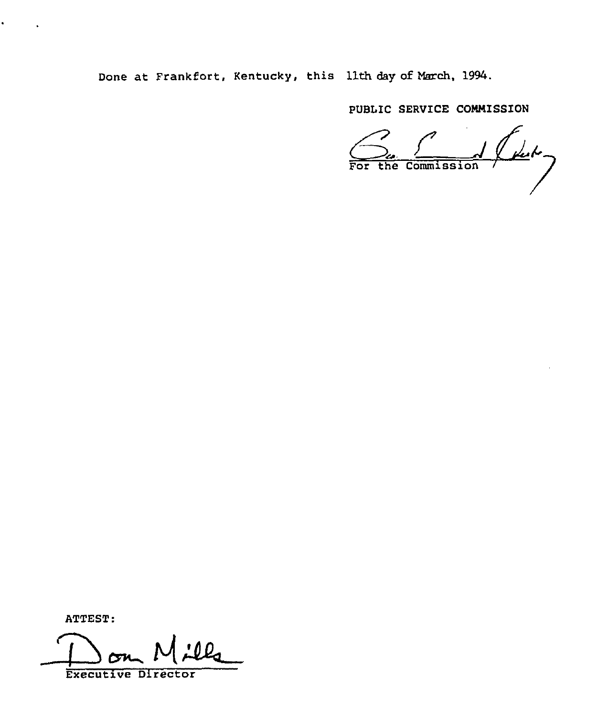Done at Frankfort, Kentucky, this 11th day of March, 1994.

PUBLIC SERVICE COMMISSION

 $\frac{1}{\sqrt{1-\frac{1}{1-\epsilon^2}}}$ 

ATTEST:

ï

Executive Director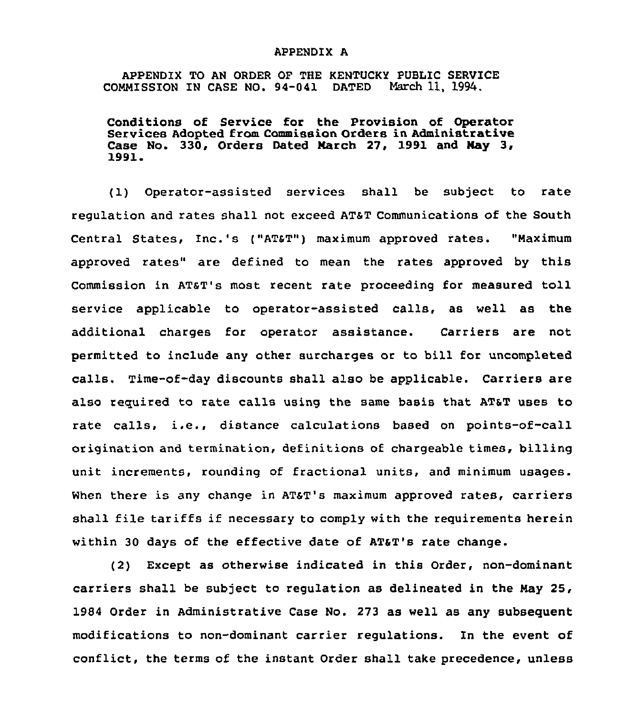## APPENDIX A

APPENDIX TO AN ORDER OF THE KENTUCKY PUBLIC SERVICE COMMISSION IN CASE NO. 94-041 DATED March 11, 1994.

Conditions of Service for the Provision of Operator Services Adopted from Commission Orders in Administrative Case No. 330, Orders Dated March 27, 1991 and May 3, 1991.

(1) Operator-assisted services shall be subject to rate regulation and rates shall not exceed ATaT communications of the South Central States, Inc.'s ("AT&T") maximum approved rates. "Maximum approved rates" are defined to mean the rates approved by this Commission in AT&T's most recent rate proceeding for measured toll service applicable to operator-assisted calls, as well as the additional charges for operator assistance. Carriers are not permitted to include any other surcharges or to bill for uncompleted calls. Time-of-day discounts shall also be applicable. Carriers are also required to rate calls using the same basis that AT&T uses to rate calls, i.e., distance calculations based on points-of-call origination and termination, definitions of chargeable times, billing unit increments, rounding of fractional units, and minimum usages. When there is any change in AT&T's maximum approved rates, carriers shall file tariffs if necessary to comply with the requirements herein within 30 days of the effective date of AT4T's rate change.

(2) Except as otherwise indicated in this Order, non-dominant carriers shall be subject to regulation as delineated in the Nay 25, 1984 Order in Administrative Case No. 273 as well as any subsequent modifications to non-dominant carrier regulations. In the event of conflict, the terms of the instant Order shall take precedence, unless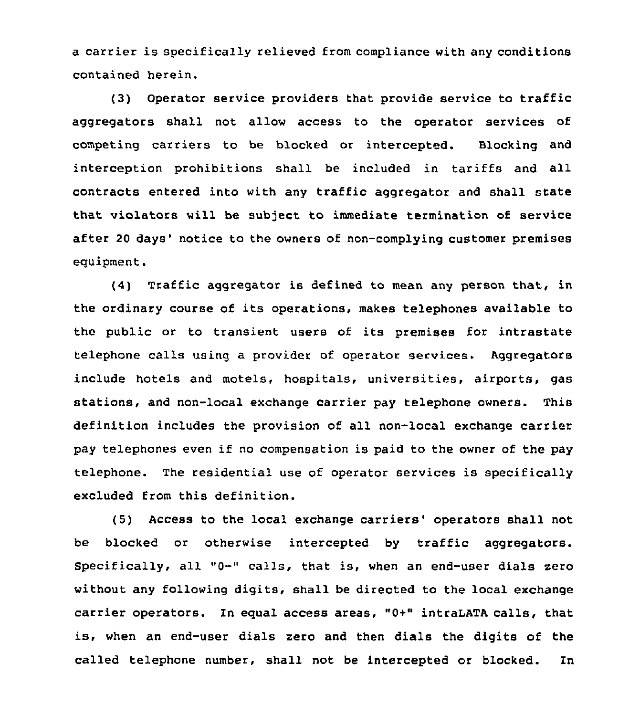a carrier is specifically relieved from compliance with any conditions contained herein.

(3) Operator service providers that provide service to traffic aggregators shall not allow access to the operator services of competing carriers to be blocked or intercepted. Blocking and interception prohibitions shall be included in tariffs and all contracts entered into with any traffic aggregator and shall state that violators will be subject to immediate termination of service after 20 days' notice to the owners of non-complying customer premises equipment.

 $(4)$  Traffic aggregator is defined to mean any person that, in the ordinary course of its operations, makes telephones available to the public or to transient users of its premises for intrastate telephone calls using a provider of operator services. Aggregators include hotels and motels, hospitals, universities, airports, gas stations, and non-local exchange carrier pay telephone owners. This definition includes the provision of all non-local exchange carrier pay telephones even if no compensation is paid to the owner of the pay telephone. The residential use of operator services is specifically excluded from this definition.

(5) Access to the local exchange carriers' operators shall not be blocked or otherwise intercepted by traffic aggregators. Specifically, all "0-" calls, that is, when an end-user dials zero without any following digits, shall be directed to the local exchange carrier operators. In equal access areas, "0+" intraLATA calls, that is, when an end-user dials zero and then dials the digits of the called telephone number, shall not be intercepted or blocked. In